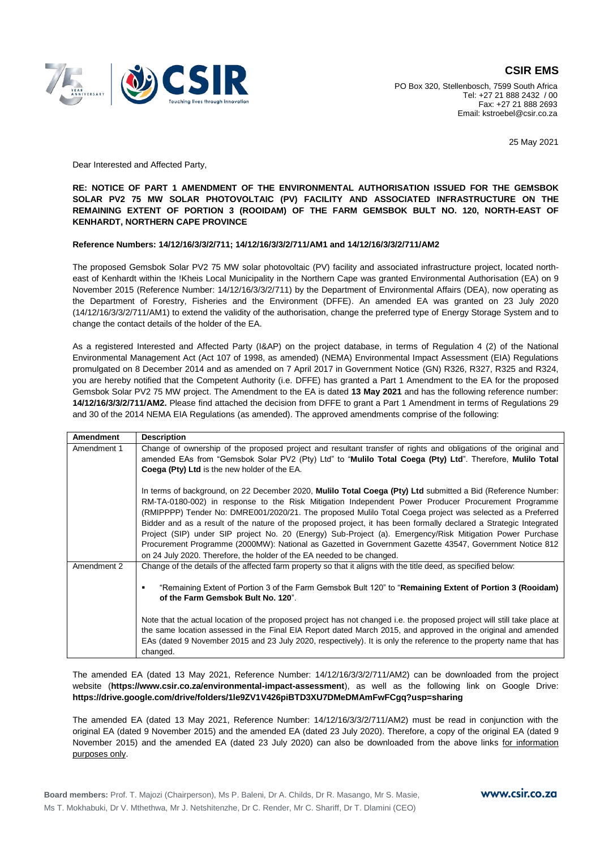

PO Box 320, Stellenbosch, 7599 South Africa Tel: +27 21 888 2432 / 00 Fax: +27 21 888 2693 Email: kstroebel@csir.co.za

25 May 2021

Dear Interested and Affected Party,

## **RE: NOTICE OF PART 1 AMENDMENT OF THE ENVIRONMENTAL AUTHORISATION ISSUED FOR THE GEMSBOK SOLAR PV2 75 MW SOLAR PHOTOVOLTAIC (PV) FACILITY AND ASSOCIATED INFRASTRUCTURE ON THE REMAINING EXTENT OF PORTION 3 (ROOIDAM) OF THE FARM GEMSBOK BULT NO. 120, NORTH-EAST OF KENHARDT, NORTHERN CAPE PROVINCE**

## **Reference Numbers: 14/12/16/3/3/2/711; 14/12/16/3/3/2/711/AM1 and 14/12/16/3/3/2/711/AM2**

The proposed Gemsbok Solar PV2 75 MW solar photovoltaic (PV) facility and associated infrastructure project, located northeast of Kenhardt within the !Kheis Local Municipality in the Northern Cape was granted Environmental Authorisation (EA) on 9 November 2015 (Reference Number: 14/12/16/3/3/2/711) by the Department of Environmental Affairs (DEA), now operating as the Department of Forestry, Fisheries and the Environment (DFFE). An amended EA was granted on 23 July 2020 (14/12/16/3/3/2/711/AM1) to extend the validity of the authorisation, change the preferred type of Energy Storage System and to change the contact details of the holder of the EA.

As a registered Interested and Affected Party (I&AP) on the project database, in terms of Regulation 4 (2) of the National Environmental Management Act (Act 107 of 1998, as amended) (NEMA) Environmental Impact Assessment (EIA) Regulations promulgated on 8 December 2014 and as amended on 7 April 2017 in Government Notice (GN) R326, R327, R325 and R324, you are hereby notified that the Competent Authority (i.e. DFFE) has granted a Part 1 Amendment to the EA for the proposed Gemsbok Solar PV2 75 MW project. The Amendment to the EA is dated **13 May 2021** and has the following reference number: **14/12/16/3/3/2/711/AM2.** Please find attached the decision from DFFE to grant a Part 1 Amendment in terms of Regulations 29 and 30 of the 2014 NEMA EIA Regulations (as amended). The approved amendments comprise of the following:

| <b>Amendment</b> | <b>Description</b>                                                                                                                                                                                                                                                                                                                                                                                                                                                                                                                                                                                                                                                                                                                                       |
|------------------|----------------------------------------------------------------------------------------------------------------------------------------------------------------------------------------------------------------------------------------------------------------------------------------------------------------------------------------------------------------------------------------------------------------------------------------------------------------------------------------------------------------------------------------------------------------------------------------------------------------------------------------------------------------------------------------------------------------------------------------------------------|
| Amendment 1      | Change of ownership of the proposed project and resultant transfer of rights and obligations of the original and<br>amended EAs from "Gemsbok Solar PV2 (Pty) Ltd" to "Mulilo Total Coega (Pty) Ltd". Therefore, Mulilo Total<br>Coega (Pty) Ltd is the new holder of the EA.                                                                                                                                                                                                                                                                                                                                                                                                                                                                            |
|                  | In terms of background, on 22 December 2020, Mulilo Total Coega (Pty) Ltd submitted a Bid (Reference Number:<br>RM-TA-0180-002) in response to the Risk Mitigation Independent Power Producer Procurement Programme<br>(RMIPPPP) Tender No: DMRE001/2020/21. The proposed Mulilo Total Coega project was selected as a Preferred<br>Bidder and as a result of the nature of the proposed project, it has been formally declared a Strategic Integrated<br>Project (SIP) under SIP project No. 20 (Energy) Sub-Project (a). Emergency/Risk Mitigation Power Purchase<br>Procurement Programme (2000MW): National as Gazetted in Government Gazette 43547, Government Notice 812<br>on 24 July 2020. Therefore, the holder of the EA needed to be changed. |
| Amendment 2      | Change of the details of the affected farm property so that it aligns with the title deed, as specified below:<br>"Remaining Extent of Portion 3 of the Farm Gemsbok Bult 120" to "Remaining Extent of Portion 3 (Rooidam)<br>٠<br>of the Farm Gemsbok Bult No. 120".                                                                                                                                                                                                                                                                                                                                                                                                                                                                                    |
|                  | Note that the actual location of the proposed project has not changed i.e. the proposed project will still take place at<br>the same location assessed in the Final EIA Report dated March 2015, and approved in the original and amended<br>EAs (dated 9 November 2015 and 23 July 2020, respectively). It is only the reference to the property name that has<br>changed.                                                                                                                                                                                                                                                                                                                                                                              |

The amended EA (dated 13 May 2021, Reference Number: 14/12/16/3/3/2/711/AM2) can be downloaded from the project website (**https://www.csir.co.za/environmental-impact-assessment**), as well as the following link on Google Drive: **https://drive.google.com/drive/folders/1le9ZV1V426piBTD3XU7DMeDMAmFwFCgq?usp=sharing**

The amended EA (dated 13 May 2021, Reference Number: 14/12/16/3/3/2/711/AM2) must be read in conjunction with the original EA (dated 9 November 2015) and the amended EA (dated 23 July 2020). Therefore, a copy of the original EA (dated 9 November 2015) and the amended EA (dated 23 July 2020) can also be downloaded from the above links for information purposes only.